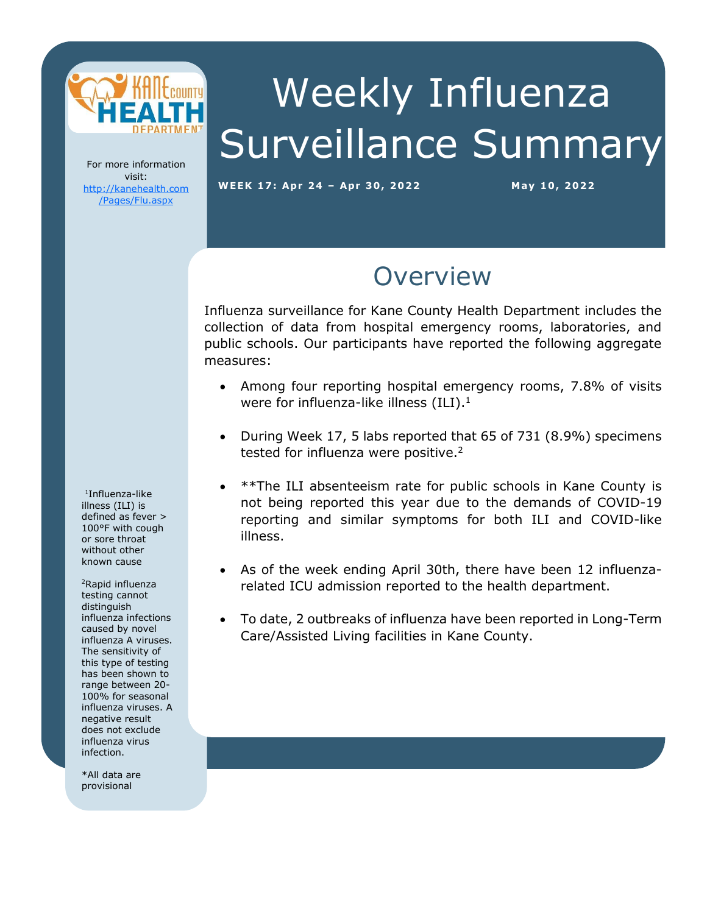

# Weekly Influenza Surveillance Summary

For more information visit: [http://kanehealth.com](http://kanehealth.com/Pages/Flu.aspx) [/Pages/Flu.aspx](http://kanehealth.com/Pages/Flu.aspx)

**WEEK 17: Apr 2 4 – Apr 3 0, 2 0 2 2 May 1 0, 2 0 22**

data that make this monitoring possible.

### **Overview**

Influenza surveillance for Kane County Health Department includes the collection of data from hospital emergency rooms, laboratories, and public schools. Our participants have reported the following aggregate measures:

- Among four reporting hospital emergency rooms, 7.8% of visits were for influenza-like illness  $(ILI).<sup>1</sup>$
- During Week 17, 5 labs reported that 65 of 731 (8.9%) specimens tested for influenza were positive.<sup>2</sup>
- \*\*The ILI absenteeism rate for public schools in Kane County is not being reported this year due to the demands of COVID-19 reporting and similar symptoms for both ILI and COVID-like illness.
- As of the week ending April 30th, there have been 12 influenzarelated ICU admission reported to the health department.
- To date, 2 outbreaks of influenza have been reported in Long-Term Care/Assisted Living facilities in Kane County.

1 Influenza-like illness (ILI) is defined as fever > 100°F with cough or sore throat without other known cause

<sup>2</sup>Rapid influenza testing cannot distinguish influenza infections caused by novel influenza A viruses. The sensitivity of this type of testing has been shown to range between 20- 100% for seasonal influenza viruses. A negative result does not exclude influenza virus infection.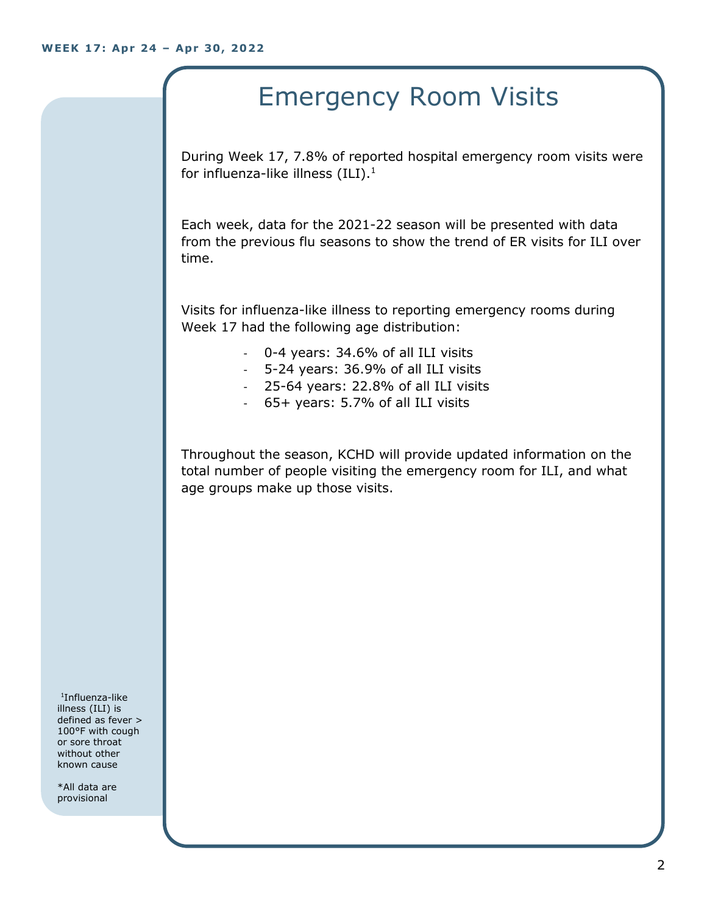## Emergency Room Visits

During Week 17, 7.8% of reported hospital emergency room visits were for influenza-like illness  $(III).<sup>1</sup>$ 

Each week, data for the 2021-22 season will be presented with data from the previous flu seasons to show the trend of ER visits for ILI over time.

Visits for influenza-like illness to reporting emergency rooms during Week 17 had the following age distribution:

- 0-4 years: 34.6% of all ILI visits
- 5-24 years: 36.9% of all ILI visits
- 25-64 years: 22.8% of all ILI visits
- 65+ years: 5.7% of all ILI visits

Throughout the season, KCHD will provide updated information on the total number of people visiting the emergency room for ILI, and what age groups make up those visits.

1 Influenza-like illness (ILI) is defined as fever > 100°F with cough or sore throat without other known cause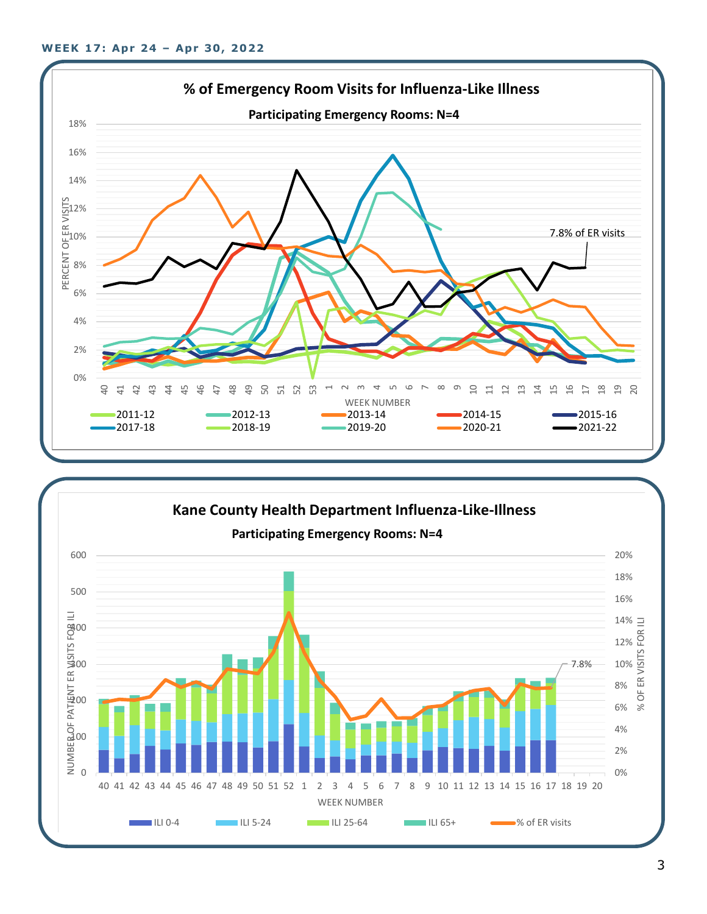

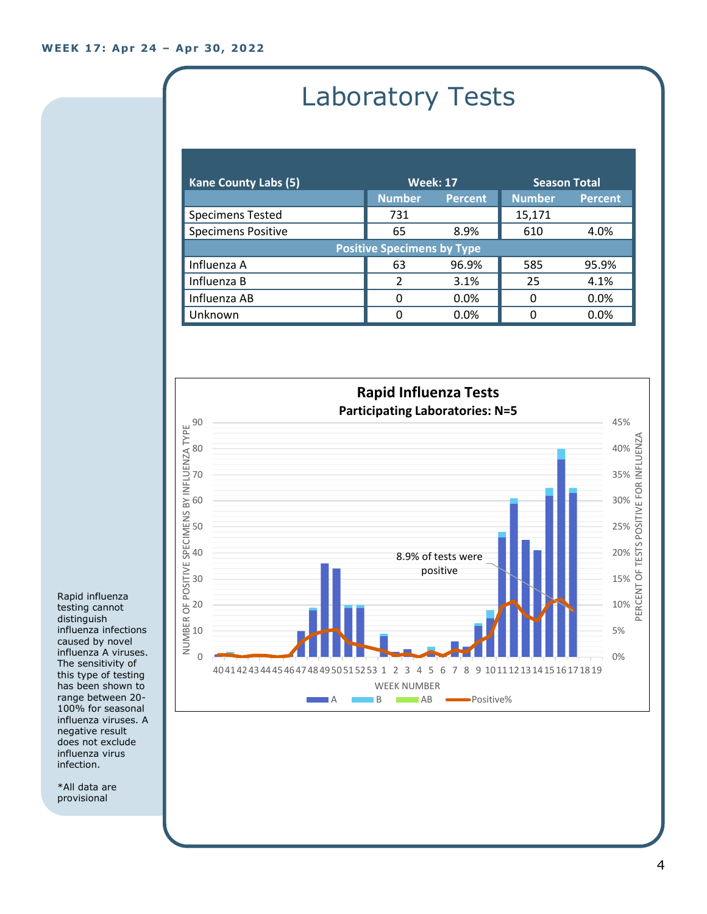# Laboratory Tests

| <b>Kane County Labs (5)</b>       | <b>Week: 17</b> |                | <b>Season Total</b> |                |  |
|-----------------------------------|-----------------|----------------|---------------------|----------------|--|
|                                   | <b>Number</b>   | <b>Percent</b> | <b>Number</b>       | <b>Percent</b> |  |
| <b>Specimens Tested</b>           | 731             |                | 15,171              |                |  |
| <b>Specimens Positive</b>         | 65              | 8.9%           | 610                 | 4.0%           |  |
| <b>Positive Specimens by Type</b> |                 |                |                     |                |  |
| Influenza A                       | 63              | 96.9%          | 585                 | 95.9%          |  |
| Influenza B                       | $\mathcal{P}$   | 3.1%           | 25                  | 4.1%           |  |
| Influenza AB                      | 0               | 0.0%           | 0                   | 0.0%           |  |
| Unknown                           | 0               | $0.0\%$        | n                   | 0.0%           |  |



Rapid influenza testing cannot distinguish influenza infections caused by novel influenza A viruses. The sensitivity of this type of testing has been shown to range between 20- 100% for seasonal influenza viruses. A negative result does not exclude influenza virus infection.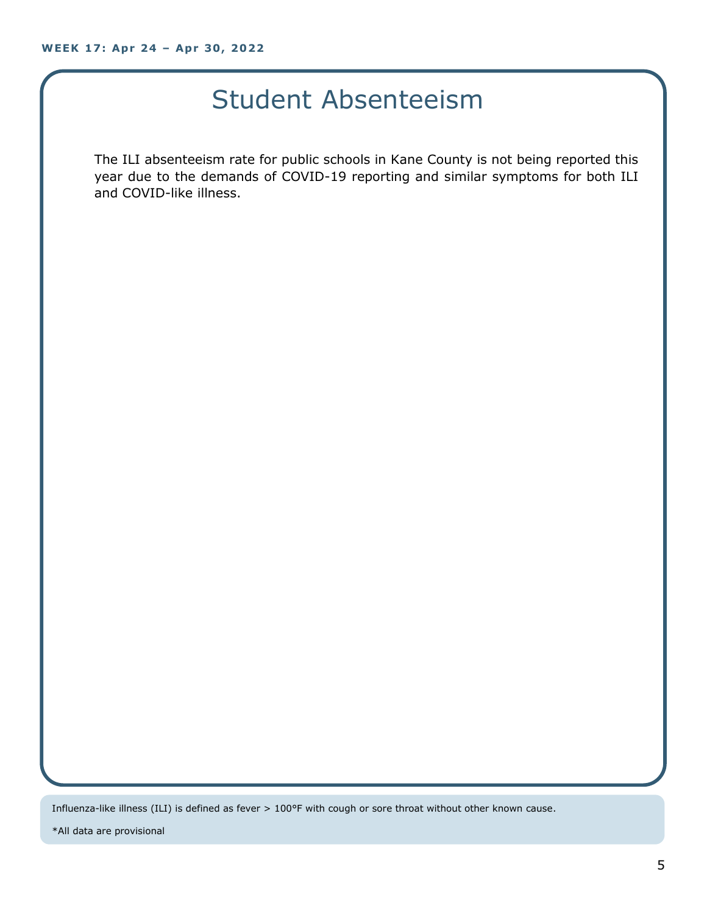### Student Absenteeism

The ILI absenteeism rate for public schools in Kane County is not being reported this year due to the demands of COVID-19 reporting and similar symptoms for both ILI and COVID-like illness.

Influenza-like illness (ILI) is defined as fever > 100°F with cough or sore throat without other known cause.